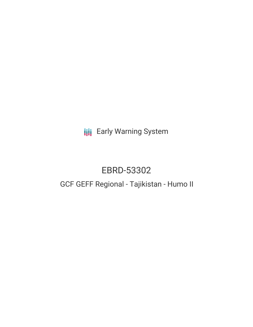**III** Early Warning System

# EBRD-53302

## GCF GEFF Regional - Tajikistan - Humo II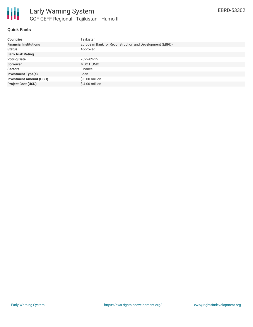

### **Quick Facts**

| <b>Countries</b>               | Tajikistan                                              |
|--------------------------------|---------------------------------------------------------|
| <b>Financial Institutions</b>  | European Bank for Reconstruction and Development (EBRD) |
| <b>Status</b>                  | Approved                                                |
| <b>Bank Risk Rating</b>        | FI                                                      |
| <b>Voting Date</b>             | 2022-02-15                                              |
| <b>Borrower</b>                | MDO HUMO                                                |
| <b>Sectors</b>                 | Finance                                                 |
| <b>Investment Type(s)</b>      | Loan                                                    |
| <b>Investment Amount (USD)</b> | $$3.00$ million                                         |
| <b>Project Cost (USD)</b>      | \$4.00 million                                          |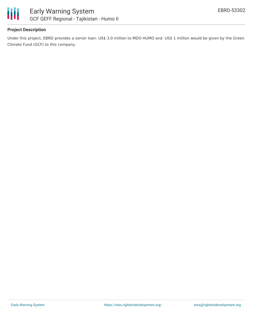

## **Project Description**

Under this project, EBRD provides a senior loan- US\$ 3.0 million to MDO HUMO and US\$ 1 million would be given by the Green Climate Fund (GCF) to this company.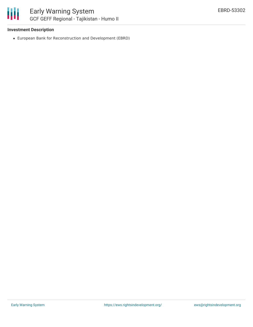## **Investment Description**

European Bank for Reconstruction and Development (EBRD)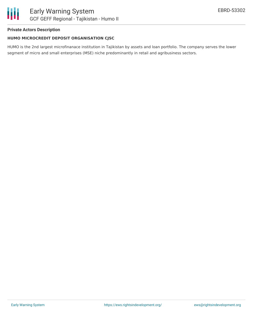## **Private Actors Description**

## **HUMO MICROCREDIT DEPOSIT ORGANISATION CJSC**

HUMO is the 2nd largest microfinanace institution in Tajikistan by assets and loan portfolio. The company serves the lower segment of micro and small enterprises (MSE) niche predominantly in retail and agribusiness sectors.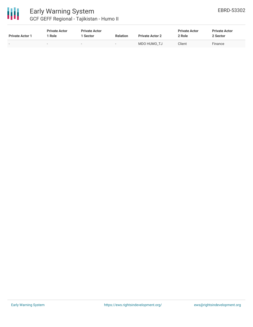

## Early Warning System GCF GEFF Regional - Tajikistan - Humo II

| <b>Private Actor 1</b>   | <b>Private Actor</b><br>Role | <b>Private Actor</b><br>1 Sector | <b>Relation</b> | <b>Private Actor 2</b> | <b>Private Actor</b><br>2 Role | <b>Private Actor</b><br>2 Sector |  |
|--------------------------|------------------------------|----------------------------------|-----------------|------------------------|--------------------------------|----------------------------------|--|
| $\overline{\phantom{0}}$ | $\overline{\phantom{0}}$     |                                  | -               | MDO HUMO TJ            | Client                         | Finance                          |  |